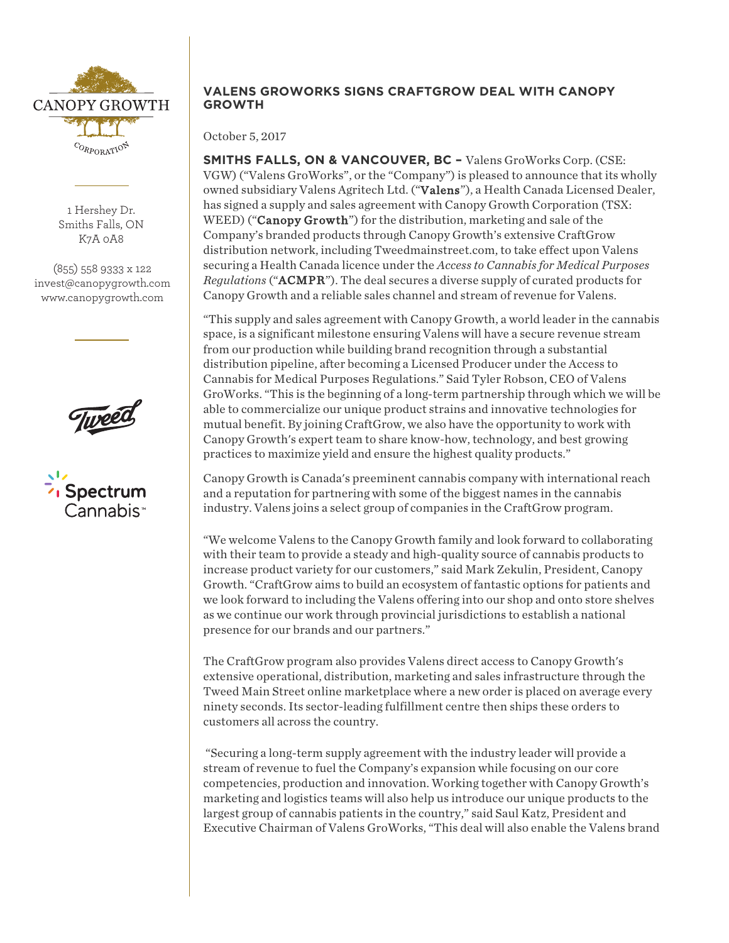

1 Hershey Dr. Smiths Falls, ON K7A 0A8

(855) 558 9333 x 122 invest@canopygrowth.com www.canopygrowth.com



# **VALENS GROWORKS SIGNS CRAFTGROW DEAL WITH CANOPY GROWTH**

October 5, 2017

**SMITHS FALLS, ON & VANCOUVER, BC –** Valens GroWorks Corp. (CSE: VGW) ("Valens GroWorks", or the "Company") is pleased to announce that its wholly owned subsidiary Valens Agritech Ltd. ("Valens"), a Health Canada Licensed Dealer, has signed a supply and sales agreement with Canopy Growth Corporation (TSX: WEED) ("**Canopy Growth**") for the distribution, marketing and sale of the Company's branded products through Canopy Growth's extensive CraftGrow distribution network, including Tweedmainstreet.com, to take effect upon Valens securing a Health Canada licence under the *Access to Cannabis for Medical Purposes Regulations* ("ACMPR"). The deal secures a diverse supply of curated products for Canopy Growth and a reliable sales channel and stream of revenue for Valens.

"This supply and sales agreement with Canopy Growth, a world leader in the cannabis space, is a significant milestone ensuring Valens will have a secure revenue stream from our production while building brand recognition through a substantial distribution pipeline, after becoming a Licensed Producer under the Access to Cannabis for Medical Purposes Regulations." Said Tyler Robson, CEO of Valens GroWorks. "This is the beginning of a long-term partnership through which we will be able to commercialize our unique product strains and innovative technologies for mutual benefit. By joining CraftGrow, we also have the opportunity to work with Canopy Growth's expert team to share know-how, technology, and best growing practices to maximize yield and ensure the highest quality products."

Canopy Growth is Canada's preeminent cannabis company with international reach and a reputation for partnering with some of the biggest names in the cannabis industry. Valens joins a select group of companies in the CraftGrow program.

"We welcome Valens to the Canopy Growth family and look forward to collaborating with their team to provide a steady and high-quality source of cannabis products to increase product variety for our customers," said Mark Zekulin, President, Canopy Growth. "CraftGrow aims to build an ecosystem of fantastic options for patients and we look forward to including the Valens offering into our shop and onto store shelves as we continue our work through provincial jurisdictions to establish a national presence for our brands and our partners."

The CraftGrow program also provides Valens direct access to Canopy Growth's extensive operational, distribution, marketing and sales infrastructure through the Tweed Main Street online marketplace where a new order is placed on average every ninety seconds. Its sector-leading fulfillment centre then ships these orders to customers all across the country.

"Securing a long-term supply agreement with the industry leader will provide a stream of revenue to fuel the Company's expansion while focusing on our core competencies, production and innovation. Working together with Canopy Growth's marketing and logistics teams will also help us introduce our unique products to the largest group of cannabis patients in the country," said Saul Katz, President and Executive Chairman of Valens GroWorks, "This deal will also enable the Valens brand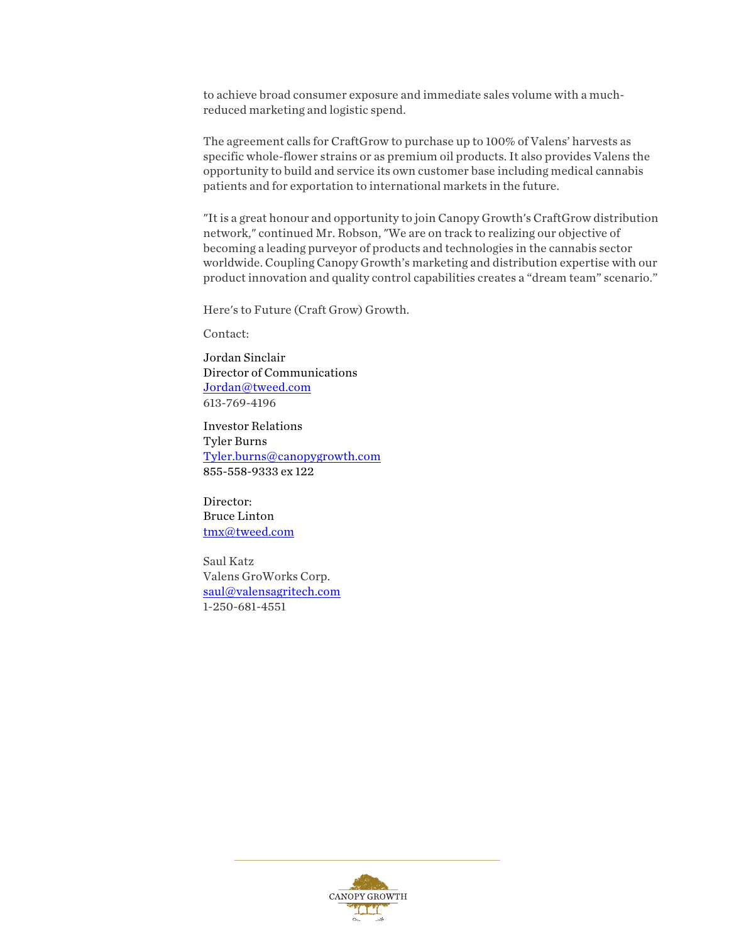to achieve broad consumer exposure and immediate sales volume with a muchreduced marketing and logistic spend.

The agreement calls for CraftGrow to purchase up to 100% of Valens' harvests as specific whole-flower strains or as premium oil products. It also provides Valens the opportunity to build and service its own customer base including medical cannabis patients and for exportation to international markets in the future.

"It is a great honour and opportunity to join Canopy Growth's CraftGrow distribution network," continued Mr. Robson, "We are on track to realizing our objective of becoming a leading purveyor of products and technologies in the cannabis sector worldwide. Coupling Canopy Growth's marketing and distribution expertise with our product innovation and quality control capabilities creates a "dream team" scenario."

Here's to Future (Craft Grow) Growth.

Contact:

Jordan Sinclair Director of Communications Jordan@tweed.com 613-769-4196

Investor Relations Tyler Burns Tyler.burns@canopygrowth.com 855-558-9333 ex 122

Director: Bruce Linton tmx@tweed.com

Saul Katz Valens GroWorks Corp. saul@valensagritech.com 1-250-681-4551